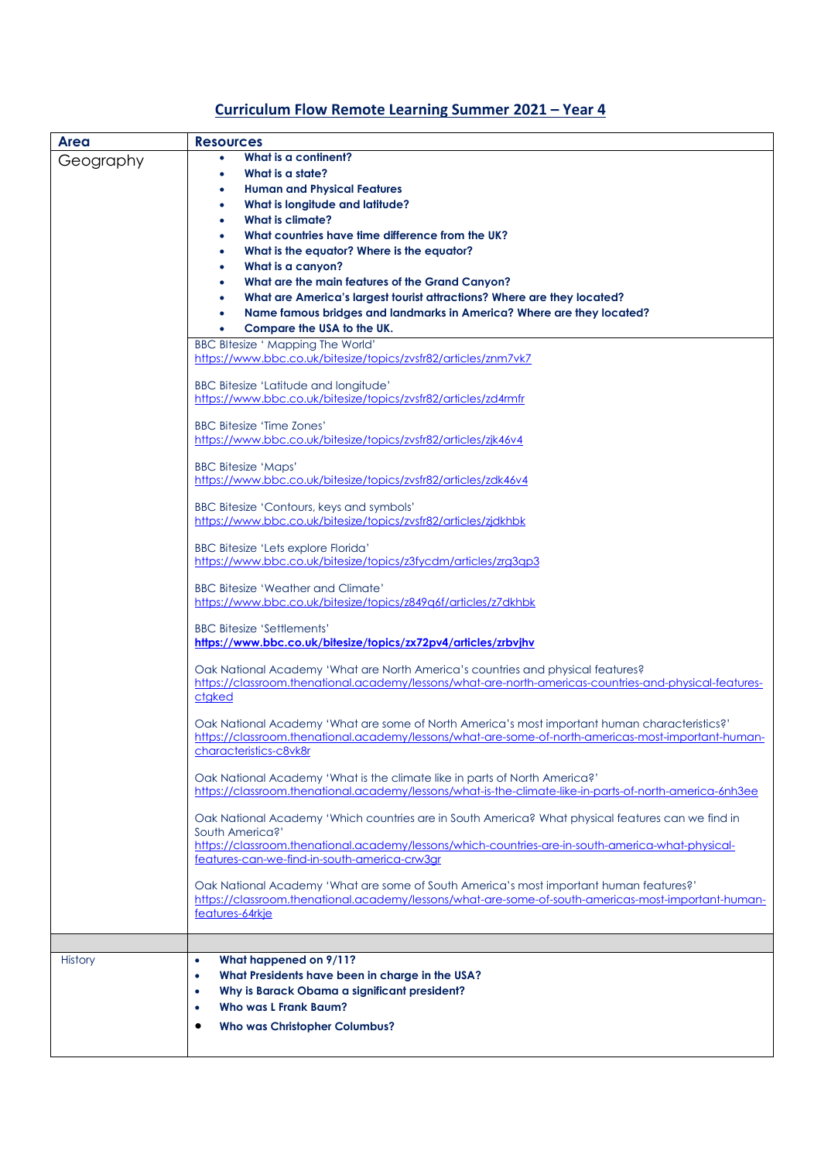## **Curriculum Flow Remote Learning Summer 2021 – Year 4**

| <b>Area</b>    | <b>Resources</b>                                                                                                                                                                                     |
|----------------|------------------------------------------------------------------------------------------------------------------------------------------------------------------------------------------------------|
| Geography      | What is a continent?<br>$\bullet$                                                                                                                                                                    |
|                | What is a state?<br>$\bullet$                                                                                                                                                                        |
|                | <b>Human and Physical Features</b><br>$\bullet$                                                                                                                                                      |
|                | What is longitude and latitude?<br>$\bullet$                                                                                                                                                         |
|                | <b>What is climate?</b><br>$\bullet$                                                                                                                                                                 |
|                | What countries have time difference from the UK?                                                                                                                                                     |
|                | What is the equator? Where is the equator?<br>$\bullet$                                                                                                                                              |
|                | What is a canyon?<br>$\bullet$                                                                                                                                                                       |
|                | What are the main features of the Grand Canyon?<br>$\bullet$                                                                                                                                         |
|                | What are America's largest tourist attractions? Where are they located?<br>$\bullet$                                                                                                                 |
|                | Name famous bridges and landmarks in America? Where are they located?<br>Compare the USA to the UK.                                                                                                  |
|                | <b>BBC BItesize ' Mapping The World'</b>                                                                                                                                                             |
|                | https://www.bbc.co.uk/bitesize/topics/zvsfr82/articles/znm7vk7                                                                                                                                       |
|                |                                                                                                                                                                                                      |
|                | BBC Bitesize 'Latitude and longitude'                                                                                                                                                                |
|                | https://www.bbc.co.uk/bitesize/topics/zvsfr82/articles/zd4rmfr                                                                                                                                       |
|                | <b>BBC Bitesize 'Time Zones'</b>                                                                                                                                                                     |
|                | https://www.bbc.co.uk/bitesize/topics/zvsfr82/articles/zjk46v4                                                                                                                                       |
|                |                                                                                                                                                                                                      |
|                | <b>BBC Bitesize 'Maps'</b>                                                                                                                                                                           |
|                | https://www.bbc.co.uk/bitesize/topics/zvsfr82/articles/zdk46v4                                                                                                                                       |
|                | BBC Bitesize 'Contours, keys and symbols'                                                                                                                                                            |
|                | https://www.bbc.co.uk/bitesize/topics/zvsfr82/articles/zjdkhbk                                                                                                                                       |
|                |                                                                                                                                                                                                      |
|                | <b>BBC Bitesize 'Lets explore Florida'</b>                                                                                                                                                           |
|                | https://www.bbc.co.uk/bitesize/topics/z3fycdm/articles/zrg3qp3                                                                                                                                       |
|                | <b>BBC Bitesize 'Weather and Climate'</b>                                                                                                                                                            |
|                | https://www.bbc.co.uk/bitesize/topics/z849q6f/articles/z7dkhbk                                                                                                                                       |
|                |                                                                                                                                                                                                      |
|                | <b>BBC Bitesize 'Settlements'</b>                                                                                                                                                                    |
|                | https://www.bbc.co.uk/bitesize/topics/zx72pv4/articles/zrbvjhv                                                                                                                                       |
|                | Oak National Academy 'What are North America's countries and physical features?                                                                                                                      |
|                | https://classroom.thenational.academy/lessons/what-are-north-americas-countries-and-physical-features-                                                                                               |
|                | ctaked                                                                                                                                                                                               |
|                |                                                                                                                                                                                                      |
|                | Oak National Academy 'What are some of North America's most important human characteristics?'<br>https://classroom.thenational.academy/lessons/what-are-some-of-north-americas-most-important-human- |
|                | characteristics-c8vk8r                                                                                                                                                                               |
|                |                                                                                                                                                                                                      |
|                | Oak National Academy 'What is the climate like in parts of North America?'                                                                                                                           |
|                | https://classroom.thenational.academy/lessons/what-is-the-climate-like-in-parts-of-north-america-6nh3ee                                                                                              |
|                | Oak National Academy 'Which countries are in South America? What physical features can we find in                                                                                                    |
|                | South America?'                                                                                                                                                                                      |
|                | https://classroom.thenational.academy/lessons/which-countries-are-in-south-america-what-physical-                                                                                                    |
|                | features-can-we-find-in-south-america-crw3gr                                                                                                                                                         |
|                | Oak National Academy 'What are some of South America's most important human features?'                                                                                                               |
|                | https://classroom.thenational.academy/lessons/what-are-some-of-south-americas-most-important-human-                                                                                                  |
|                | features-64rkje                                                                                                                                                                                      |
|                |                                                                                                                                                                                                      |
|                |                                                                                                                                                                                                      |
| <b>History</b> | What happened on 9/11?<br>$\bullet$                                                                                                                                                                  |
|                | What Presidents have been in charge in the USA?<br>$\bullet$                                                                                                                                         |
|                | Why is Barack Obama a significant president?<br>$\bullet$                                                                                                                                            |
|                | <b>Who was L Frank Baum?</b><br>$\bullet$                                                                                                                                                            |
|                | Who was Christopher Columbus?<br>٠                                                                                                                                                                   |
|                |                                                                                                                                                                                                      |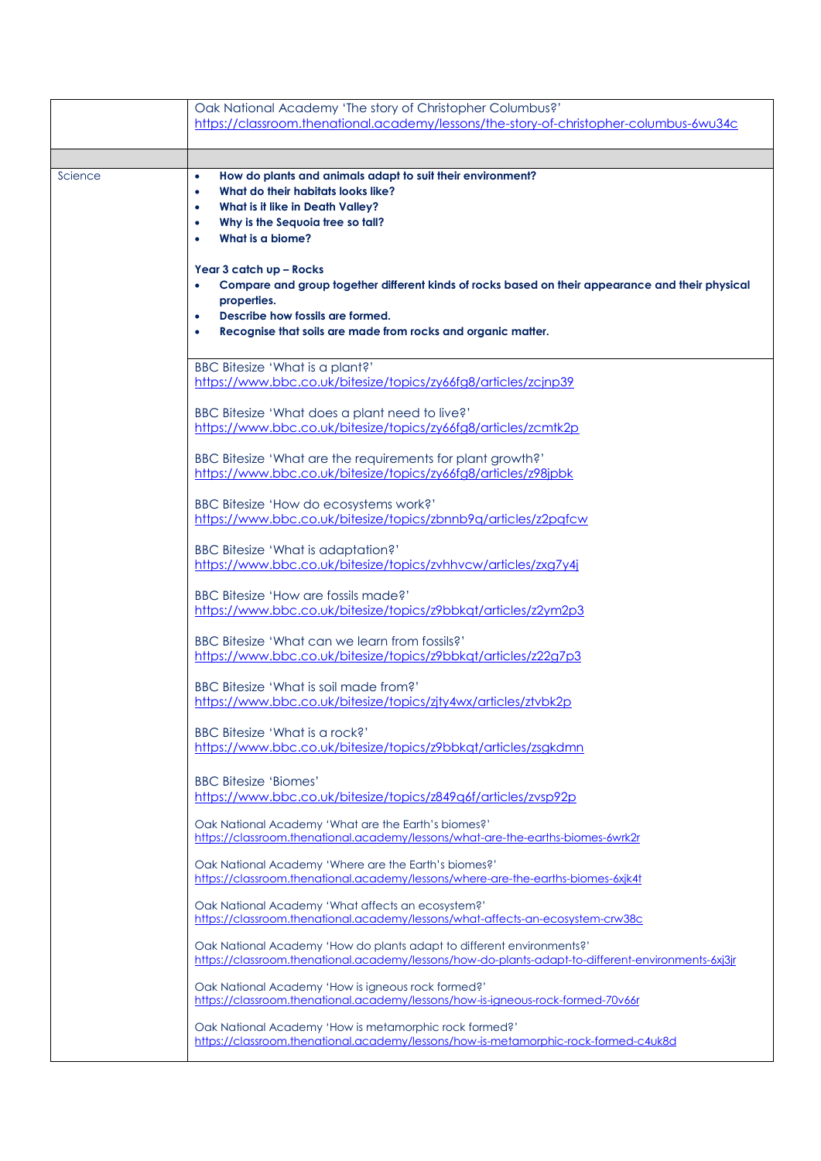|         | Oak National Academy 'The story of Christopher Columbus?'<br>https://classroom.thenational.academy/lessons/the-story-of-christopher-columbus-6wu34c                                                                                                                                                                                                                                                                                                                                                                            |
|---------|--------------------------------------------------------------------------------------------------------------------------------------------------------------------------------------------------------------------------------------------------------------------------------------------------------------------------------------------------------------------------------------------------------------------------------------------------------------------------------------------------------------------------------|
| Science | How do plants and animals adapt to suit their environment?<br>$\bullet$<br>What do their habitats looks like?<br>$\bullet$<br>What is it like in Death Valley?<br>۰<br>Why is the Sequoia tree so tall?<br>۰<br>What is a biome?<br>$\bullet$<br>Year 3 catch up - Rocks<br>Compare and group together different kinds of rocks based on their appearance and their physical<br>۰<br>properties.<br>Describe how fossils are formed.<br>$\bullet$<br>Recognise that soils are made from rocks and organic matter.<br>$\bullet$ |
|         | <b>BBC Bitesize 'What is a plant?'</b><br>https://www.bbc.co.uk/bitesize/topics/zy66fa8/articles/zcinp39<br>BBC Bitesize 'What does a plant need to live?'<br>https://www.bbc.co.uk/bitesize/topics/zy66fg8/articles/zcmtk2p                                                                                                                                                                                                                                                                                                   |
|         | BBC Bitesize 'What are the requirements for plant growth?'<br>https://www.bbc.co.uk/bitesize/topics/zy66fg8/articles/z98jpbk<br>BBC Bitesize 'How do ecosystems work?'<br>https://www.bbc.co.uk/bitesize/topics/zbnnb9q/articles/z2pqfcw<br>BBC Bitesize 'What is adaptation?'                                                                                                                                                                                                                                                 |
|         | https://www.bbc.co.uk/bitesize/topics/zvhhvcw/articles/zxg7y4j<br>BBC Bitesize 'How are fossils made?'<br>https://www.bbc.co.uk/bitesize/topics/z9bbkqt/articles/z2ym2p3<br>BBC Bitesize 'What can we learn from fossils?'<br>https://www.bbc.co.uk/bitesize/topics/z9bbkqt/articles/z22g7p3                                                                                                                                                                                                                                   |
|         | BBC Bitesize 'What is soil made from?'<br>https://www.bbc.co.uk/bitesize/topics/zjty4wx/articles/ztvbk2p<br>BBC Bitesize 'What is a rock?'<br>https://www.bbc.co.uk/bitesize/topics/z9bbkqt/articles/zsgkdmn                                                                                                                                                                                                                                                                                                                   |
|         | <b>BBC Bitesize 'Biomes'</b><br>https://www.bbc.co.uk/bitesize/topics/z849q6f/articles/zvsp92p<br>Oak National Academy 'What are the Earth's biomes?'<br>https://classroom.thenational.academy/lessons/what-are-the-earths-biomes-6wrk2r                                                                                                                                                                                                                                                                                       |
|         | Oak National Academy 'Where are the Earth's biomes?'<br>https://classroom.thenational.academy/lessons/where-are-the-earths-biomes-6xjk4t<br>Oak National Academy 'What affects an ecosystem?'<br>https://classroom.thenational.academy/lessons/what-affects-an-ecosystem-crw38c<br>Oak National Academy 'How do plants adapt to different environments?'                                                                                                                                                                       |
|         | https://classroom.thenational.academy/lessons/how-do-plants-adapt-to-different-environments-6xj3jr<br>Oak National Academy 'How is igneous rock formed?'<br>https://classroom.thenational.academy/lessons/how-is-igneous-rock-formed-70v66r<br>Oak National Academy 'How is metamorphic rock formed?'<br>https://classroom.thenational.academy/lessons/how-is-metamorphic-rock-formed-c4uk8d                                                                                                                                   |